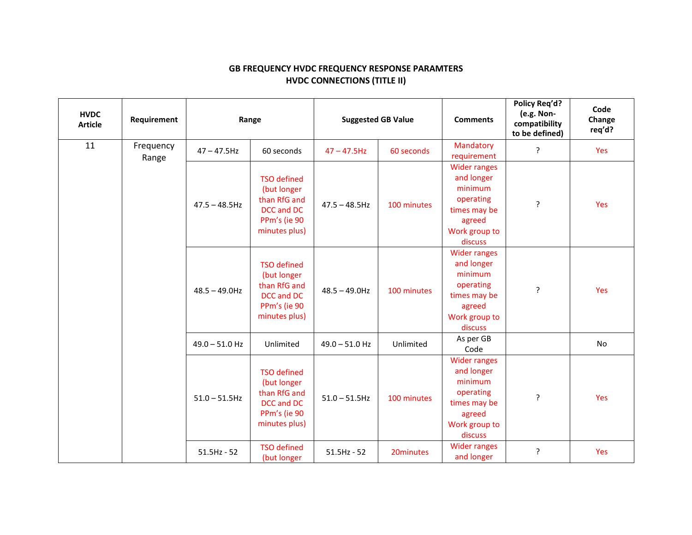## **GB FREQUENCY HVDC FREQUENCY RESPONSE PARAMTERS HVDC CONNECTIONS (TITLE II)**

| <b>HVDC</b><br><b>Article</b> | Requirement        | Range            |                                                                                                  | <b>Suggested GB Value</b> |             | <b>Comments</b>                                                                                                 | Policy Reg'd?<br>(e.g. Non-<br>compatibility<br>to be defined) | Code<br>Change<br>req'd? |
|-------------------------------|--------------------|------------------|--------------------------------------------------------------------------------------------------|---------------------------|-------------|-----------------------------------------------------------------------------------------------------------------|----------------------------------------------------------------|--------------------------|
| 11                            | Frequency<br>Range | $47 - 47.5$ Hz   | 60 seconds                                                                                       | $47 - 47.5$ Hz            | 60 seconds  | Mandatory<br>requirement                                                                                        | ?                                                              | Yes                      |
|                               |                    | $47.5 - 48.5$ Hz | <b>TSO defined</b><br>(but longer<br>than RfG and<br>DCC and DC<br>PPm's (ie 90<br>minutes plus) | $47.5 - 48.5$ Hz          | 100 minutes | <b>Wider ranges</b><br>and longer<br>minimum<br>operating<br>times may be<br>agreed<br>Work group to<br>discuss | ŗ                                                              | Yes                      |
|                               |                    | $48.5 - 49.0$ Hz | <b>TSO defined</b><br>(but longer<br>than RfG and<br>DCC and DC<br>PPm's (ie 90<br>minutes plus) | $48.5 - 49.0$ Hz          | 100 minutes | <b>Wider ranges</b><br>and longer<br>minimum<br>operating<br>times may be<br>agreed<br>Work group to<br>discuss | ŗ                                                              | Yes                      |
|                               |                    | $49.0 - 51.0$ Hz | Unlimited                                                                                        | $49.0 - 51.0$ Hz          | Unlimited   | As per GB<br>Code                                                                                               |                                                                | No                       |
|                               |                    | $51.0 - 51.5$ Hz | <b>TSO defined</b><br>(but longer<br>than RfG and<br>DCC and DC<br>PPm's (ie 90<br>minutes plus) | $51.0 - 51.5$ Hz          | 100 minutes | <b>Wider ranges</b><br>and longer<br>minimum<br>operating<br>times may be<br>agreed<br>Work group to<br>discuss | ŗ                                                              | Yes                      |
|                               |                    | $51.5$ Hz - 52   | <b>TSO</b> defined<br>(but longer                                                                | $51.5$ Hz - 52            | 20minutes   | <b>Wider ranges</b><br>and longer                                                                               | ŗ                                                              | Yes                      |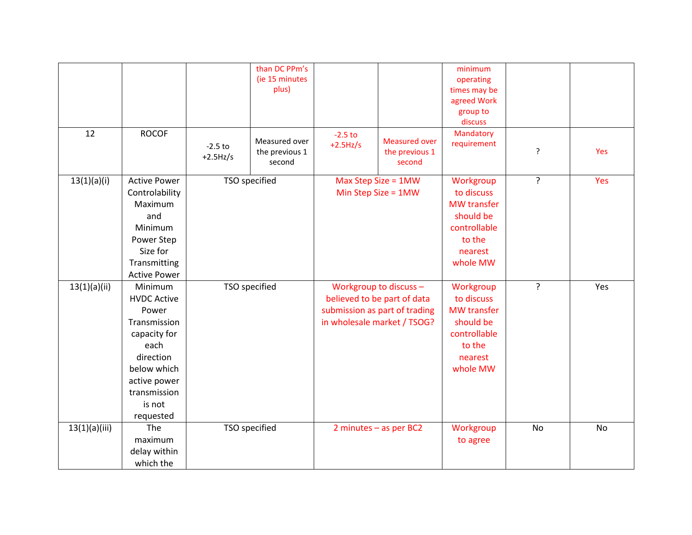| 12            | <b>ROCOF</b>                                                                                                                                                      | $-2.5$ to<br>$+2.5$ Hz/s | than DC PPm's<br>(ie 15 minutes<br>plus)<br>Measured over<br>the previous 1<br>second | $-2.5$ to<br>$+2.5$ Hz/s                     | <b>Measured over</b><br>the previous 1<br>second                                                                      | minimum<br>operating<br>times may be<br>agreed Work<br>group to<br>discuss<br>Mandatory<br>requirement      | ŗ           | Yes       |
|---------------|-------------------------------------------------------------------------------------------------------------------------------------------------------------------|--------------------------|---------------------------------------------------------------------------------------|----------------------------------------------|-----------------------------------------------------------------------------------------------------------------------|-------------------------------------------------------------------------------------------------------------|-------------|-----------|
| 13(1)(a)(i)   | <b>Active Power</b><br>Controlability<br>Maximum<br>and<br>Minimum<br>Power Step<br>Size for<br>Transmitting<br><b>Active Power</b>                               | TSO specified            |                                                                                       | Max Step Size = 1MW<br>Min Step Size = $1MW$ |                                                                                                                       | Workgroup<br>to discuss<br><b>MW</b> transfer<br>should be<br>controllable<br>to the<br>nearest<br>whole MW | $\tilde{?}$ | Yes       |
| 13(1)(a)(ii)  | Minimum<br><b>HVDC Active</b><br>Power<br>Transmission<br>capacity for<br>each<br>direction<br>below which<br>active power<br>transmission<br>is not<br>requested |                          | TSO specified                                                                         |                                              | Workgroup to discuss -<br>believed to be part of data<br>submission as part of trading<br>in wholesale market / TSOG? | Workgroup<br>to discuss<br><b>MW</b> transfer<br>should be<br>controllable<br>to the<br>nearest<br>whole MW | ?           | Yes       |
| 13(1)(a)(iii) | The<br>maximum<br>delay within<br>which the                                                                                                                       |                          | TSO specified                                                                         |                                              | 2 minutes - as per BC2                                                                                                | Workgroup<br>to agree                                                                                       | No          | <b>No</b> |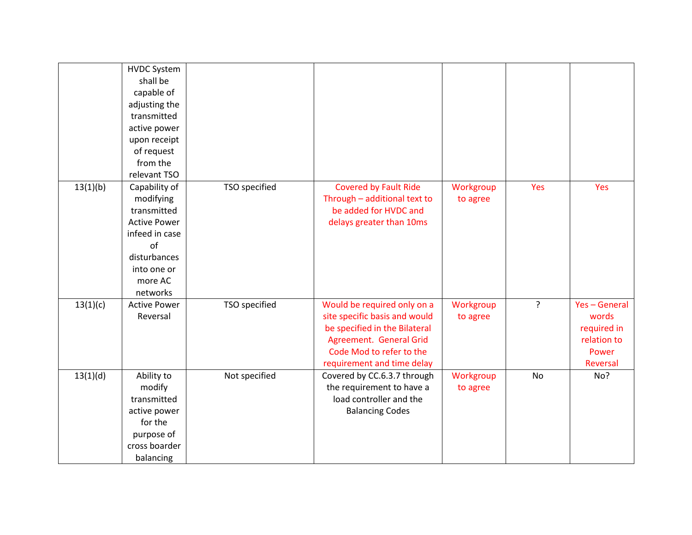|          | <b>HVDC System</b>  |               |                               |           |           |             |
|----------|---------------------|---------------|-------------------------------|-----------|-----------|-------------|
|          | shall be            |               |                               |           |           |             |
|          | capable of          |               |                               |           |           |             |
|          | adjusting the       |               |                               |           |           |             |
|          | transmitted         |               |                               |           |           |             |
|          | active power        |               |                               |           |           |             |
|          | upon receipt        |               |                               |           |           |             |
|          | of request          |               |                               |           |           |             |
|          | from the            |               |                               |           |           |             |
|          | relevant TSO        |               |                               |           |           |             |
| 13(1)(b) | Capability of       | TSO specified | <b>Covered by Fault Ride</b>  | Workgroup | Yes       | Yes         |
|          | modifying           |               | Through - additional text to  | to agree  |           |             |
|          | transmitted         |               | be added for HVDC and         |           |           |             |
|          | <b>Active Power</b> |               | delays greater than 10ms      |           |           |             |
|          | infeed in case      |               |                               |           |           |             |
|          | of                  |               |                               |           |           |             |
|          | disturbances        |               |                               |           |           |             |
|          | into one or         |               |                               |           |           |             |
|          | more AC             |               |                               |           |           |             |
|          | networks            |               |                               |           |           |             |
| 13(1)(c) | <b>Active Power</b> | TSO specified | Would be required only on a   | Workgroup | ?         | Yes-General |
|          | Reversal            |               | site specific basis and would | to agree  |           | words       |
|          |                     |               | be specified in the Bilateral |           |           | required in |
|          |                     |               | Agreement. General Grid       |           |           | relation to |
|          |                     |               | Code Mod to refer to the      |           |           | Power       |
|          |                     |               | requirement and time delay    |           |           | Reversal    |
| 13(1)(d) | Ability to          | Not specified | Covered by CC.6.3.7 through   | Workgroup | <b>No</b> | No?         |
|          | modify              |               | the requirement to have a     | to agree  |           |             |
|          | transmitted         |               | load controller and the       |           |           |             |
|          | active power        |               | <b>Balancing Codes</b>        |           |           |             |
|          | for the             |               |                               |           |           |             |
|          | purpose of          |               |                               |           |           |             |
|          | cross boarder       |               |                               |           |           |             |
|          | balancing           |               |                               |           |           |             |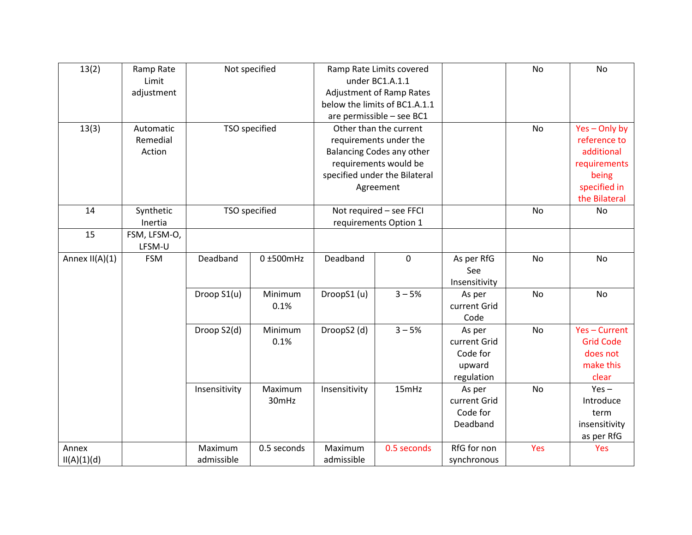| 13(2)            | Ramp Rate    | Not specified |                 | Ramp Rate Limits covered |                                 |               | <b>No</b> | No               |
|------------------|--------------|---------------|-----------------|--------------------------|---------------------------------|---------------|-----------|------------------|
|                  | Limit        |               |                 |                          | under BC1.A.1.1                 |               |           |                  |
|                  | adjustment   |               |                 |                          | <b>Adjustment of Ramp Rates</b> |               |           |                  |
|                  |              |               |                 |                          | below the limits of BC1.A.1.1   |               |           |                  |
|                  |              |               |                 |                          | are permissible - see BC1       |               |           |                  |
| 13(3)            | Automatic    |               | TSO specified   |                          | Other than the current          |               | No        | Yes-Only by      |
|                  | Remedial     |               |                 |                          | requirements under the          |               |           | reference to     |
|                  | Action       |               |                 |                          | Balancing Codes any other       |               |           | additional       |
|                  |              |               |                 |                          | requirements would be           |               |           | requirements     |
|                  |              |               |                 |                          | specified under the Bilateral   |               |           | being            |
|                  |              |               |                 |                          | Agreement                       |               |           | specified in     |
|                  |              |               |                 |                          |                                 |               |           | the Bilateral    |
| 14               | Synthetic    |               | TSO specified   | Not required - see FFCI  |                                 |               | <b>No</b> | <b>No</b>        |
|                  | Inertia      |               |                 | requirements Option 1    |                                 |               |           |                  |
| 15               | FSM, LFSM-O, |               |                 |                          |                                 |               |           |                  |
|                  | LFSM-U       |               |                 |                          |                                 |               |           |                  |
| Annex $II(A)(1)$ | <b>FSM</b>   | Deadband      | $0 \pm 500$ mHz | Deadband                 | $\pmb{0}$                       | As per RfG    | No        | No               |
|                  |              |               |                 |                          |                                 | See           |           |                  |
|                  |              |               |                 |                          |                                 | Insensitivity |           |                  |
|                  |              | Droop S1(u)   | Minimum         | DroopS1 (u)              | $3 - 5%$                        | As per        | <b>No</b> | <b>No</b>        |
|                  |              |               | 0.1%            |                          |                                 | current Grid  |           |                  |
|                  |              |               |                 |                          |                                 | Code          |           |                  |
|                  |              | Droop S2(d)   | Minimum         | DroopS2 (d)              | $3 - 5%$                        | As per        | No        | Yes-Current      |
|                  |              |               | 0.1%            |                          |                                 | current Grid  |           | <b>Grid Code</b> |
|                  |              |               |                 |                          |                                 | Code for      |           | does not         |
|                  |              |               |                 |                          |                                 | upward        |           | make this        |
|                  |              |               |                 |                          |                                 | regulation    |           | clear            |
|                  |              | Insensitivity | Maximum         | Insensitivity            | 15mHz                           | As per        | <b>No</b> | $Yes -$          |
|                  |              |               | 30mHz           |                          |                                 | current Grid  |           | Introduce        |
|                  |              |               |                 |                          |                                 | Code for      |           | term             |
|                  |              |               |                 |                          |                                 | Deadband      |           | insensitivity    |
|                  |              |               |                 |                          |                                 |               |           | as per RfG       |
| Annex            |              | Maximum       | 0.5 seconds     | Maximum                  | 0.5 seconds                     | RfG for non   | Yes       | Yes              |
| II(A)(1)(d)      |              | admissible    |                 | admissible               |                                 | synchronous   |           |                  |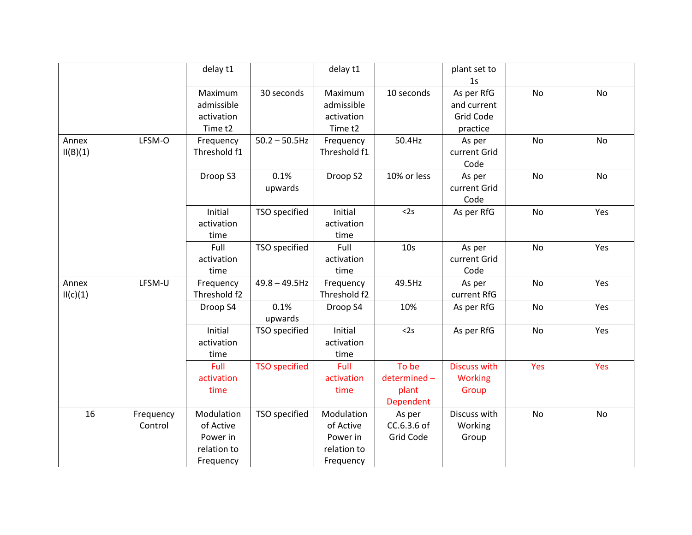|                   |                      | delay t1                                                        |                      | delay t1                                                        |                                            | plant set to<br>1 <sub>S</sub>                            |           |           |
|-------------------|----------------------|-----------------------------------------------------------------|----------------------|-----------------------------------------------------------------|--------------------------------------------|-----------------------------------------------------------|-----------|-----------|
|                   |                      | Maximum<br>admissible<br>activation<br>Time <sub>t2</sub>       | 30 seconds           | Maximum<br>admissible<br>activation<br>Time <sub>t2</sub>       | 10 seconds                                 | As per RfG<br>and current<br><b>Grid Code</b><br>practice | <b>No</b> | <b>No</b> |
| Annex<br>II(B)(1) | LFSM-O               | Frequency<br>Threshold f1                                       | $50.2 - 50.5$ Hz     | Frequency<br>Threshold f1                                       | 50.4Hz                                     | As per<br>current Grid<br>Code                            | <b>No</b> | No        |
|                   |                      | Droop S3                                                        | 0.1%<br>upwards      | Droop S2                                                        | 10% or less                                | As per<br>current Grid<br>Code                            | <b>No</b> | <b>No</b> |
|                   |                      | Initial<br>activation<br>time                                   | TSO specified        | Initial<br>activation<br>time                                   | <2s                                        | As per RfG                                                | No        | Yes       |
|                   |                      | Full<br>activation<br>time                                      | TSO specified        | Full<br>activation<br>time                                      | 10 <sub>s</sub>                            | As per<br>current Grid<br>Code                            | <b>No</b> | Yes       |
| Annex<br>II(c)(1) | LFSM-U               | Frequency<br>Threshold f2                                       | $49.8 - 49.5$ Hz     | Frequency<br>Threshold f2                                       | 49.5Hz                                     | As per<br>current RfG                                     | <b>No</b> | Yes       |
|                   |                      | Droop S4                                                        | 0.1%<br>upwards      | Droop S4                                                        | 10%                                        | As per RfG                                                | <b>No</b> | Yes       |
|                   |                      | Initial<br>activation<br>time                                   | TSO specified        | Initial<br>activation<br>time                                   | <2s                                        | As per RfG                                                | No        | Yes       |
|                   |                      | Full<br>activation<br>time                                      | <b>TSO</b> specified | Full<br>activation<br>time                                      | To be<br>determined-<br>plant<br>Dependent | <b>Discuss with</b><br><b>Working</b><br>Group            | Yes       | Yes       |
| 16                | Frequency<br>Control | Modulation<br>of Active<br>Power in<br>relation to<br>Frequency | TSO specified        | Modulation<br>of Active<br>Power in<br>relation to<br>Frequency | As per<br>CC.6.3.6 of<br>Grid Code         | Discuss with<br>Working<br>Group                          | <b>No</b> | No        |